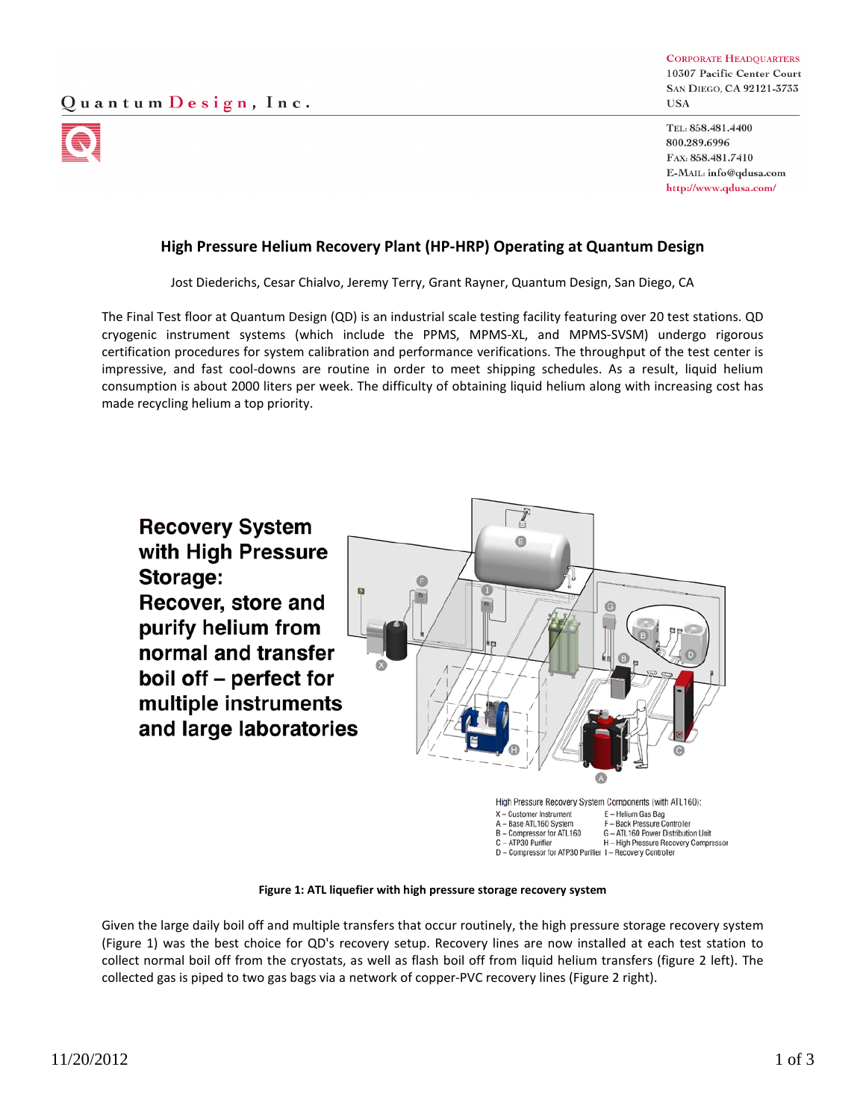

**CORPORATE HEADQUARTERS** 10307 Pacific Center Court SAN DIEGO, CA 92121-3733 **USA** 

TEL: 858,481,4400 800.289.6996 FAX: 858.481.7410 E-MAIL: info@qdusa.com http://www.qdusa.com/

## **High Pressure Helium Recovery Plant (HP-HRP) Operating at Quantum Design**

Jost Diederichs, Cesar Chialvo, Jeremy Terry, Grant Rayner, Quantum Design, San Diego, CA

The Final Test floor at Quantum Design (QD) is an industrial scale testing facility featuring over 20 test stations. QD cryogenic instrument systems (which include the PPMS, MPMS-XL, and MPMS-SVSM) undergo rigorous certification procedures for system calibration and performance verifications. The throughput of the test center is impressive, and fast cool-downs are routine in order to meet shipping schedules. As a result, liquid helium consumption is about 2000 liters per week. The difficulty of obtaining liquid helium along with increasing cost has made recycling helium a top priority.



**Figure 1: ATL liquefier with high pressure storage recovery system**

Given the large daily boil off and multiple transfers that occur routinely, the high pressure storage recovery system (Figure 1) was the best choice for QD's recovery setup. Recovery lines are now installed at each test station to collect normal boil off from the cryostats, as well as flash boil off from liquid helium transfers (figure 2 left). The collected gas is piped to two gas bags via a network of copper-PVC recovery lines (Figure 2 right).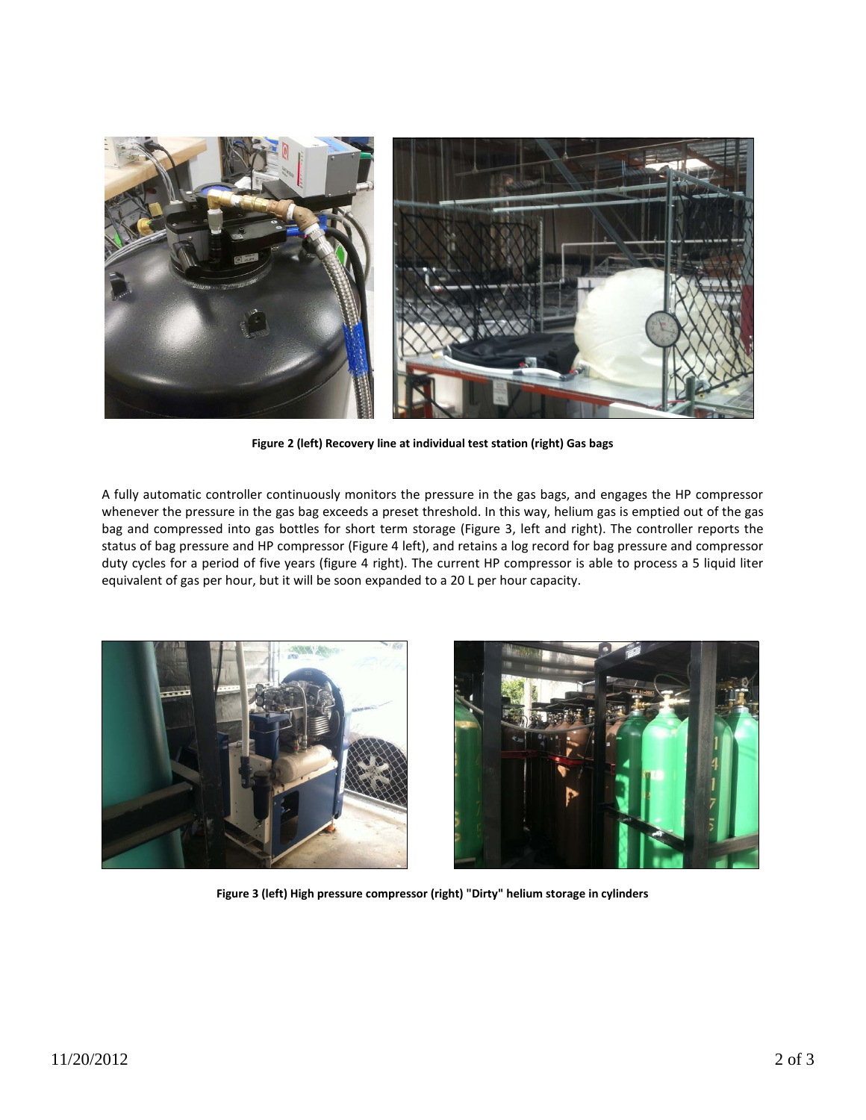

**Figure 2 (left) Recovery line at individual test station (right) Gas bags**

A fully automatic controller continuously monitors the pressure in the gas bags, and engages the HP compressor whenever the pressure in the gas bag exceeds a preset threshold. In this way, helium gas is emptied out of the gas bag and compressed into gas bottles for short term storage (Figure 3, left and right). The controller reports the status of bag pressure and HP compressor (Figure 4 left), and retains a log record for bag pressure and compressor duty cycles for a period of five years (figure 4 right). The current HP compressor is able to process a 5 liquid liter equivalent of gas per hour, but it will be soon expanded to a 20 L per hour capacity.





**Figure 3 (left) High pressure compressor (right) "Dirty" helium storage in cylinders**